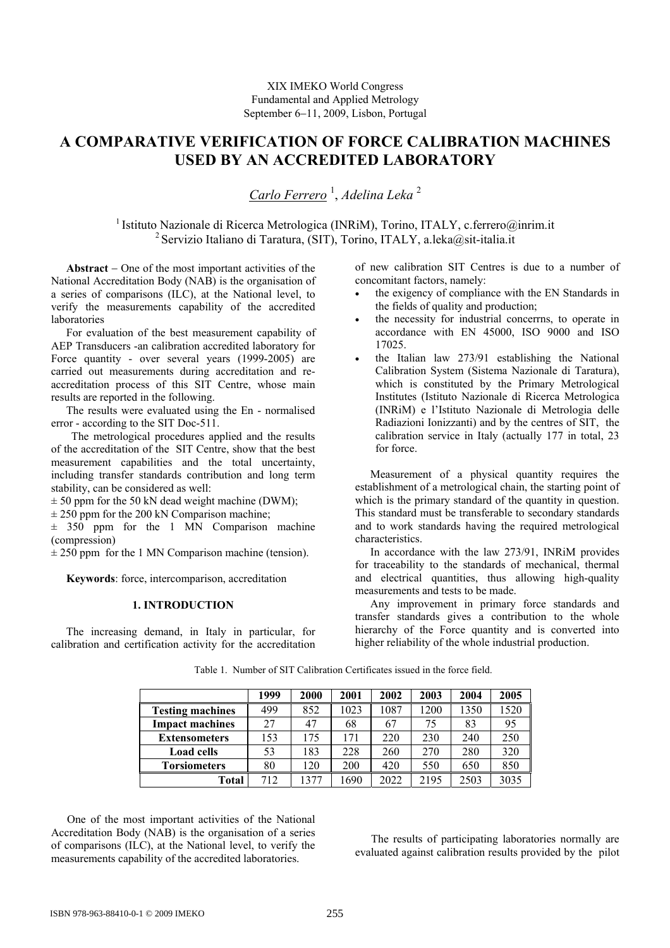# **A COMPARATIVE VERIFICATION OF FORCE CALIBRATION MACHINES USED BY AN ACCREDITED LABORATORY**

*Carlo Ferrero* <sup>1</sup> , *Adelina Leka* <sup>2</sup>

<sup>1</sup> Istituto Nazionale di Ricerca Metrologica (INRiM), Torino, ITALY, c.ferrero@inrim.it <sup>2</sup> Servizio Italiano di Taratura, (SIT), Torino, ITALY, a.leka@sit-italia.it

**Abstract** − One of the most important activities of the National Accreditation Body (NAB) is the organisation of a series of comparisons (ILC), at the National level, to verify the measurements capability of the accredited laboratories

For evaluation of the best measurement capability of AEP Transducers -an calibration accredited laboratory for Force quantity - over several years (1999-2005) are carried out measurements during accreditation and reaccreditation process of this SIT Centre, whose main results are reported in the following.

The results were evaluated using the En - normalised error - according to the SIT Doc-511.

The metrological procedures applied and the results of the accreditation of the SIT Centre, show that the best measurement capabilities and the total uncertainty, including transfer standards contribution and long term stability, can be considered as well:

 $\pm$  50 ppm for the 50 kN dead weight machine (DWM);

 $\pm$  250 ppm for the 200 kN Comparison machine;

 $\pm$  350 ppm for the 1 MN Comparison machine (compression)

 $\pm$  250 ppm for the 1 MN Comparison machine (tension).

**Keywords**: force, intercomparison, accreditation

# **1. INTRODUCTION**

The increasing demand, in Italy in particular, for calibration and certification activity for the accreditation

of new calibration SIT Centres is due to a number of concomitant factors, namely:

- the exigency of compliance with the EN Standards in the fields of quality and production;
- the necessity for industrial concerrns, to operate in accordance with EN 45000, ISO 9000 and ISO 17025.
- the Italian law 273/91 establishing the National Calibration System (Sistema Nazionale di Taratura), which is constituted by the Primary Metrological Institutes (Istituto Nazionale di Ricerca Metrologica (INRiM) e l'Istituto Nazionale di Metrologia delle Radiazioni Ionizzanti) and by the centres of SIT, the calibration service in Italy (actually 177 in total, 23 for force.

Measurement of a physical quantity requires the establishment of a metrological chain, the starting point of which is the primary standard of the quantity in question. This standard must be transferable to secondary standards and to work standards having the required metrological characteristics.

In accordance with the law 273/91, INRiM provides for traceability to the standards of mechanical, thermal and electrical quantities, thus allowing high-quality measurements and tests to be made.

Any improvement in primary force standards and transfer standards gives a contribution to the whole hierarchy of the Force quantity and is converted into higher reliability of the whole industrial production.

|                         | 1999 | 2000 | 2001 | 2002 | 2003 | 2004 | 2005 |
|-------------------------|------|------|------|------|------|------|------|
| <b>Testing machines</b> | 499  | 852  | 1023 | 1087 | 1200 | 1350 | 1520 |
| <b>Impact machines</b>  | 27   | 47   | 68   | 67   | 75   | 83   | 95   |
| <b>Extensometers</b>    | 153  | 175  | 171  | 220  | 230  | 240  | 250  |
| <b>Load cells</b>       | 53   | 183  | 228  | 260  | 270  | 280  | 320  |
| <b>Torsiometers</b>     | 80   | 120  | 200  | 420  | 550  | 650  | 850  |
| Total                   | 712  | 1377 | .690 | 2022 | 2195 | 2503 | 3035 |

Table 1. Number of SIT Calibration Certificates issued in the force field.

One of the most important activities of the National Accreditation Body (NAB) is the organisation of a series of comparisons (ILC), at the National level, to verify the measurements capability of the accredited laboratories.

The results of participating laboratories normally are evaluated against calibration results provided by the pilot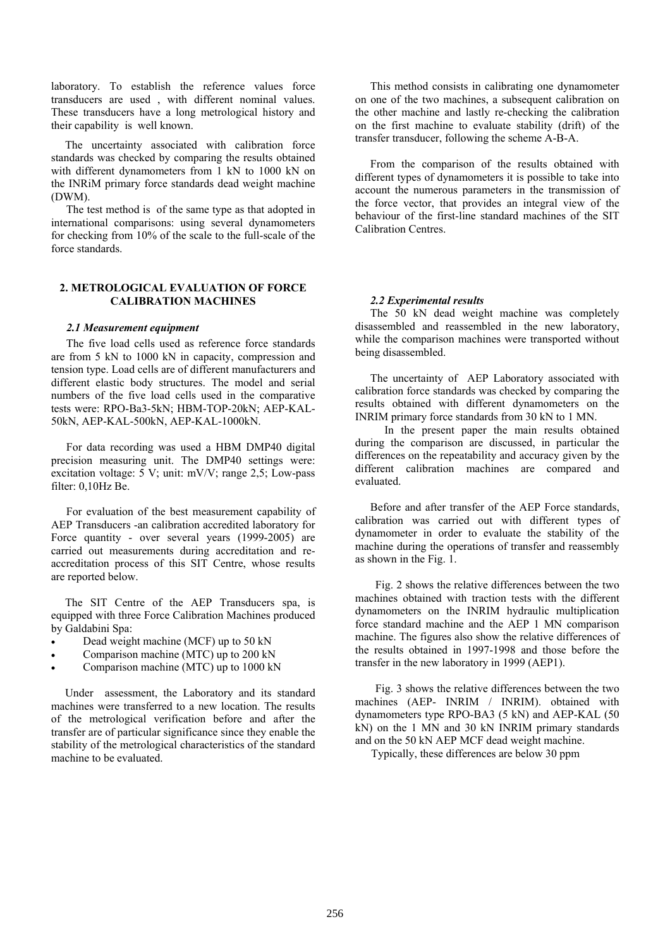laboratory. To establish the reference values force transducers are used , with different nominal values. These transducers have a long metrological history and their capability is well known.

 The uncertainty associated with calibration force standards was checked by comparing the results obtained with different dynamometers from 1 kN to 1000 kN on the INRiM primary force standards dead weight machine (DWM).

The test method is of the same type as that adopted in international comparisons: using several dynamometers for checking from 10% of the scale to the full-scale of the force standards.

# **2. METROLOGICAL EVALUATION OF FORCE CALIBRATION MACHINES**

### *2.1 Measurement equipment*

The five load cells used as reference force standards are from 5 kN to 1000 kN in capacity, compression and tension type. Load cells are of different manufacturers and different elastic body structures. The model and serial numbers of the five load cells used in the comparative tests were: RPO-Ba3-5kN; HBM-TOP-20kN; AEP-KAL-50kN, AEP-KAL-500kN, AEP-KAL-1000kN.

For data recording was used a HBM DMP40 digital precision measuring unit. The DMP40 settings were: excitation voltage: 5 V; unit: mV/V; range 2,5; Low-pass filter: 0,10Hz Be.

For evaluation of the best measurement capability of AEP Transducers -an calibration accredited laboratory for Force quantity - over several years (1999-2005) are carried out measurements during accreditation and reaccreditation process of this SIT Centre, whose results are reported below.

 The SIT Centre of the AEP Transducers spa, is equipped with three Force Calibration Machines produced by Galdabini Spa:

- Dead weight machine (MCF) up to 50 kN
- Comparison machine (MTC) up to 200 kN
- Comparison machine (MTC) up to 1000 kN

 Under assessment, the Laboratory and its standard machines were transferred to a new location. The results of the metrological verification before and after the transfer are of particular significance since they enable the stability of the metrological characteristics of the standard machine to be evaluated.

This method consists in calibrating one dynamometer on one of the two machines, a subsequent calibration on the other machine and lastly re-checking the calibration on the first machine to evaluate stability (drift) of the transfer transducer, following the scheme A-B-A.

From the comparison of the results obtained with different types of dynamometers it is possible to take into account the numerous parameters in the transmission of the force vector, that provides an integral view of the behaviour of the first-line standard machines of the SIT Calibration Centres.

#### *2.2 Experimental results*

The 50 kN dead weight machine was completely disassembled and reassembled in the new laboratory, while the comparison machines were transported without being disassembled.

The uncertainty of AEP Laboratory associated with calibration force standards was checked by comparing the results obtained with different dynamometers on the INRIM primary force standards from 30 kN to 1 MN.

 In the present paper the main results obtained during the comparison are discussed, in particular the differences on the repeatability and accuracy given by the different calibration machines are compared and evaluated.

Before and after transfer of the AEP Force standards, calibration was carried out with different types of dynamometer in order to evaluate the stability of the machine during the operations of transfer and reassembly as shown in the Fig. 1.

Fig. 2 shows the relative differences between the two machines obtained with traction tests with the different dynamometers on the INRIM hydraulic multiplication force standard machine and the AEP 1 MN comparison machine. The figures also show the relative differences of the results obtained in 1997-1998 and those before the transfer in the new laboratory in 1999 (AEP1).

Fig. 3 shows the relative differences between the two machines (AEP- INRIM / INRIM). obtained with dynamometers type RPO-BA3 (5 kN) and AEP-KAL (50 kN) on the 1 MN and 30 kN INRIM primary standards and on the 50 kN AEP MCF dead weight machine.

Typically, these differences are below 30 ppm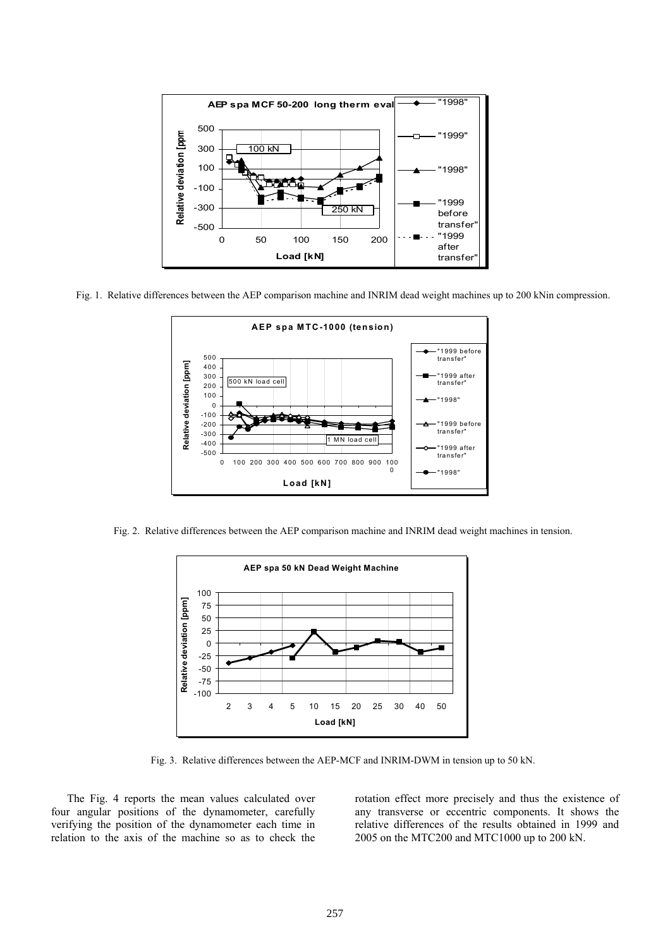

Fig. 1. Relative differences between the AEP comparison machine and INRIM dead weight machines up to 200 kNin compression.



Fig. 2. Relative differences between the AEP comparison machine and INRIM dead weight machines in tension.



Fig. 3. Relative differences between the AEP-MCF and INRIM-DWM in tension up to 50 kN.

The Fig. 4 reports the mean values calculated over four angular positions of the dynamometer, carefully verifying the position of the dynamometer each time in relation to the axis of the machine so as to check the rotation effect more precisely and thus the existence of any transverse or eccentric components. It shows the relative differences of the results obtained in 1999 and 2005 on the MTC200 and MTC1000 up to 200 kN.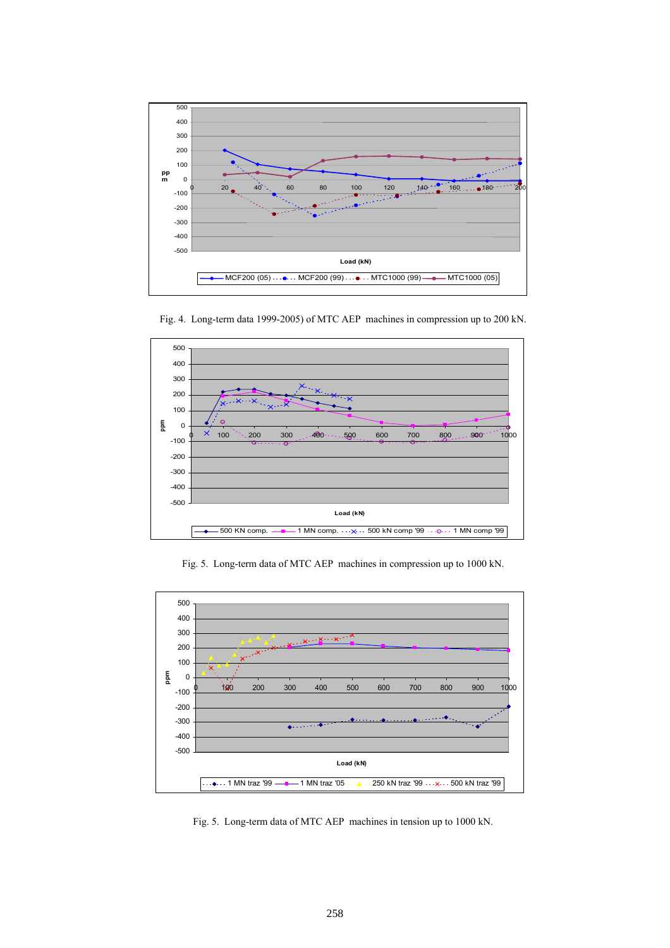

500 400 300  $\times_{\cdot\cdot_\infty}$ 200

 $\overline{\circ}$ 

 $\phi$   $\times$  100 ` $\cdot$  200 300 ...400  $\cdot$  ...590 600 700 800 ... 900 1000

**Load (kN)**

-500 -400 -300 -200 -100 0 100

**ppm**

 $\epsilon$ 

Fig. 4. Long-term data 1999-2005) of MTC AEP machines in compression up to 200 kN.



Fig. 5. Long-term data of MTC AEP machines in tension up to 1000 kN.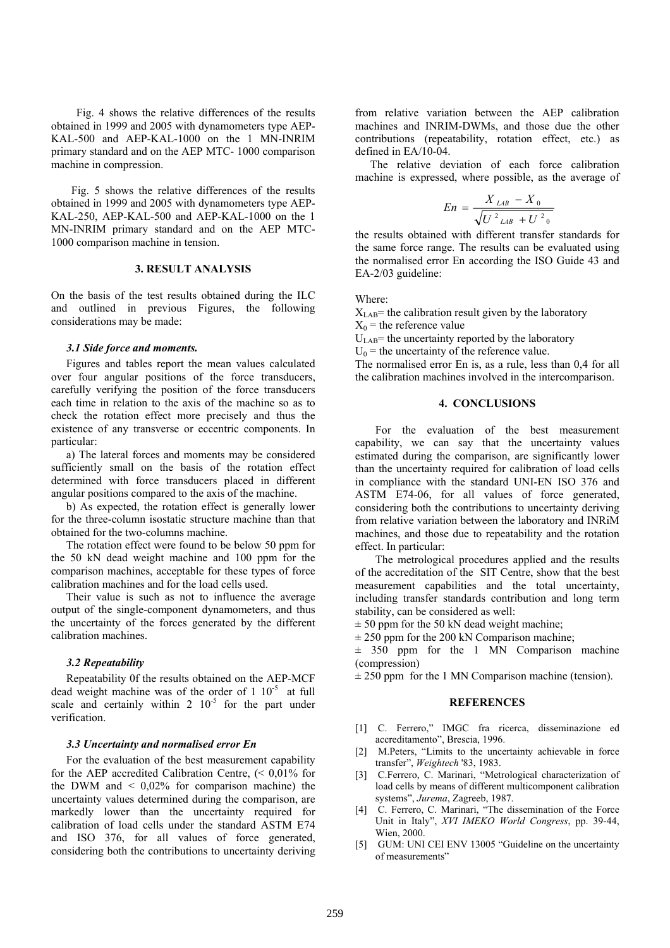Fig. 4 shows the relative differences of the results obtained in 1999 and 2005 with dynamometers type AEP-KAL-500 and AEP-KAL-1000 on the 1 MN-INRIM primary standard and on the AEP MTC- 1000 comparison machine in compression.

Fig. 5 shows the relative differences of the results obtained in 1999 and 2005 with dynamometers type AEP-KAL-250, AEP-KAL-500 and AEP-KAL-1000 on the 1 MN-INRIM primary standard and on the AEP MTC-1000 comparison machine in tension.

# **3. RESULT ANALYSIS**

On the basis of the test results obtained during the ILC and outlined in previous Figures, the following considerations may be made:

## *3.1 Side force and moments.*

Figures and tables report the mean values calculated over four angular positions of the force transducers, carefully verifying the position of the force transducers each time in relation to the axis of the machine so as to check the rotation effect more precisely and thus the existence of any transverse or eccentric components. In particular:

a) The lateral forces and moments may be considered sufficiently small on the basis of the rotation effect determined with force transducers placed in different angular positions compared to the axis of the machine.

b) As expected, the rotation effect is generally lower for the three-column isostatic structure machine than that obtained for the two-columns machine.

The rotation effect were found to be below 50 ppm for the 50 kN dead weight machine and 100 ppm for the comparison machines, acceptable for these types of force calibration machines and for the load cells used.

Their value is such as not to influence the average output of the single-component dynamometers, and thus the uncertainty of the forces generated by the different calibration machines.

### *3.2 Repeatability*

Repeatability 0f the results obtained on the AEP-MCF dead weight machine was of the order of  $1 \times 10^{-5}$  at full scale and certainly within 2  $10^{-5}$  for the part under verification.

#### *3.3 Uncertainty and normalised error En*

For the evaluation of the best measurement capability for the AEP accredited Calibration Centre, (< 0,01% for the DWM and  $\leq 0.02\%$  for comparison machine) the uncertainty values determined during the comparison, are markedly lower than the uncertainty required for calibration of load cells under the standard ASTM E74 and ISO 376, for all values of force generated, considering both the contributions to uncertainty deriving from relative variation between the AEP calibration machines and INRIM-DWMs, and those due the other contributions (repeatability, rotation effect, etc.) as defined in EA/10-04.

The relative deviation of each force calibration machine is expressed, where possible, as the average of

$$
En = \frac{X_{LAB} - X_0}{\sqrt{U^2_{LAB} + U^2_0}}
$$

the results obtained with different transfer standards for the same force range. The results can be evaluated using the normalised error En according the ISO Guide 43 and EA-2/03 guideline:

Where:

 $X<sub>LAB</sub>$ = the calibration result given by the laboratory  $X_0$  = the reference value

 $U<sub>LAB</sub>$ = the uncertainty reported by the laboratory

 $U_0$  = the uncertainty of the reference value.

The normalised error En is, as a rule, less than 0,4 for all the calibration machines involved in the intercomparison.

## **4. CONCLUSIONS**

For the evaluation of the best measurement capability, we can say that the uncertainty values estimated during the comparison, are significantly lower than the uncertainty required for calibration of load cells in compliance with the standard UNI-EN ISO 376 and ASTM E74-06, for all values of force generated, considering both the contributions to uncertainty deriving from relative variation between the laboratory and INRiM machines, and those due to repeatability and the rotation effect. In particular:

The metrological procedures applied and the results of the accreditation of the SIT Centre, show that the best measurement capabilities and the total uncertainty, including transfer standards contribution and long term stability, can be considered as well:

 $\pm$  50 ppm for the 50 kN dead weight machine;

 $\pm$  250 ppm for the 200 kN Comparison machine;

 $\pm$  350 ppm for the 1 MN Comparison machine (compression)

 $\pm$  250 ppm for the 1 MN Comparison machine (tension).

#### **REFERENCES**

- [1] C. Ferrero," IMGC fra ricerca, disseminazione ed accreditamento", Brescia, 1996.
- [2] M.Peters, "Limits to the uncertainty achievable in force transfer", *Weightech* '83, 1983.
- [3] C.Ferrero, C. Marinari, "Metrological characterization of load cells by means of different multicomponent calibration systems", *Jurema*, Zagreeb, 1987.
- [4] C. Ferrero, C. Marinari, "The dissemination of the Force Unit in Italy", *XVI IMEKO World Congress*, pp. 39-44, Wien, 2000.
- [5] GUM: UNI CEI ENV 13005 "Guideline on the uncertainty of measurements"